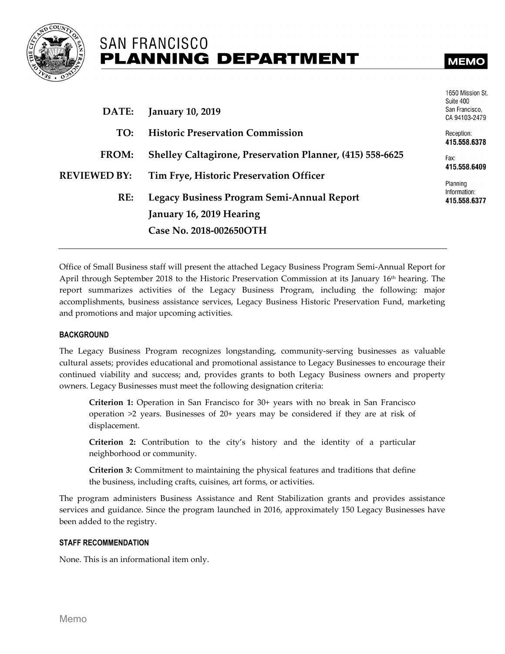

# **SAN FRANCISCO PLANNING DEPARTMENT**

1650 Mission St.

| DATE:               | <b>January 10, 2019</b>                                          | Suite 400<br>San Francisco,<br>CA 94103-2479 |
|---------------------|------------------------------------------------------------------|----------------------------------------------|
| TO:                 | <b>Historic Preservation Commission</b>                          | Reception:<br>415.558.6378                   |
| FROM:               | <b>Shelley Caltagirone, Preservation Planner, (415) 558-6625</b> | Fax:<br>415.558.6409                         |
| <b>REVIEWED BY:</b> | Tim Frye, Historic Preservation Officer                          | Planning                                     |
| RE:                 | Legacy Business Program Semi-Annual Report                       | Information:<br>415.558.6377                 |
|                     | January 16, 2019 Hearing                                         |                                              |
|                     | Case No. 2018-002650OTH                                          |                                              |

Office of Small Business staff will present the attached Legacy Business Program Semi-Annual Report for April through September 2018 to the Historic Preservation Commission at its January 16th hearing. The report summarizes activities of the Legacy Business Program, including the following: major accomplishments, business assistance services, Legacy Business Historic Preservation Fund, marketing and promotions and major upcoming activities.

#### **BACKGROUND**

The Legacy Business Program recognizes longstanding, community-serving businesses as valuable cultural assets; provides educational and promotional assistance to Legacy Businesses to encourage their continued viability and success; and, provides grants to both Legacy Business owners and property owners. Legacy Businesses must meet the following designation criteria:

**Criterion 1:** Operation in San Francisco for 30+ years with no break in San Francisco operation >2 years. Businesses of 20+ years may be considered if they are at risk of displacement.

**Criterion 2:** Contribution to the city's history and the identity of a particular neighborhood or community.

**Criterion 3:** Commitment to maintaining the physical features and traditions that define the business, including crafts, cuisines, art forms, or activities.

The program administers Business Assistance and Rent Stabilization grants and provides assistance services and guidance. Since the program launched in 2016, approximately 150 Legacy Businesses have been added to the registry.

#### **STAFF RECOMMENDATION**

None. This is an informational item only.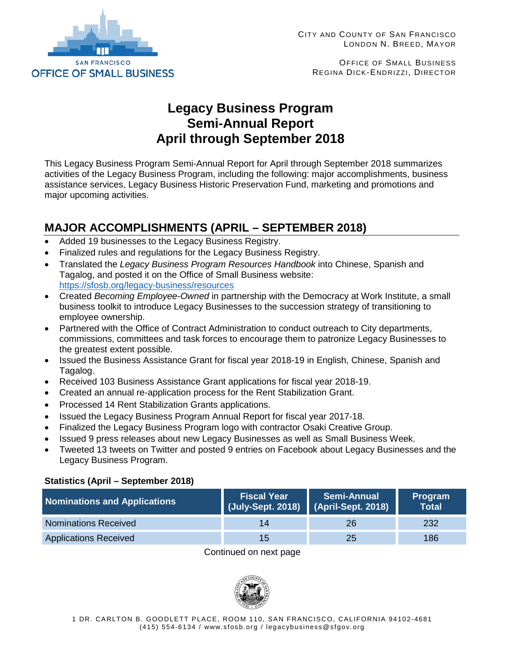

OFFICE OF SMALL BUSINESS REGINA DICK-ENDRIZZI, DIRECTOR

# **Legacy Business Program Semi-Annual Report April through September 2018**

This Legacy Business Program Semi-Annual Report for April through September 2018 summarizes activities of the Legacy Business Program, including the following: major accomplishments, business assistance services, Legacy Business Historic Preservation Fund, marketing and promotions and major upcoming activities.

# **MAJOR ACCOMPLISHMENTS (APRIL – SEPTEMBER 2018)**

- Added 19 businesses to the Legacy Business Registry.
- Finalized rules and regulations for the Legacy Business Registry.
- Translated the *Legacy Business Program Resources Handbook* into Chinese, Spanish and Tagalog, and posted it on the Office of Small Business website: <https://sfosb.org/legacy-business/resources>
- Created *Becoming Employee-Owned* in partnership with the Democracy at Work Institute, a small business toolkit to introduce Legacy Businesses to the succession strategy of transitioning to employee ownership.
- Partnered with the Office of Contract Administration to conduct outreach to City departments, commissions, committees and task forces to encourage them to patronize Legacy Businesses to the greatest extent possible.
- Issued the Business Assistance Grant for fiscal year 2018-19 in English, Chinese, Spanish and Tagalog.
- Received 103 Business Assistance Grant applications for fiscal year 2018-19.
- Created an annual re-application process for the Rent Stabilization Grant.
- Processed 14 Rent Stabilization Grants applications.
- Issued the Legacy Business Program Annual Report for fiscal year 2017-18.
- Finalized the Legacy Business Program logo with contractor Osaki Creative Group.
- Issued 9 press releases about new Legacy Businesses as well as Small Business Week.
- Tweeted 13 tweets on Twitter and posted 9 entries on Facebook about Legacy Businesses and the Legacy Business Program.

### **Statistics (April – September 2018)**

| <b>Nominations and Applications</b> | <b>Fiscal Year</b><br>(July-Sept. 2018) | <b>Semi-Annual</b><br>$\blacksquare$ (April-Sept. 2018) | Program<br>Total |
|-------------------------------------|-----------------------------------------|---------------------------------------------------------|------------------|
| <b>Nominations Received</b>         | 14                                      | 26                                                      | 232              |
| <b>Applications Received</b>        | 15 <sub>1</sub>                         | 25                                                      | 186              |

#### Continued on next page

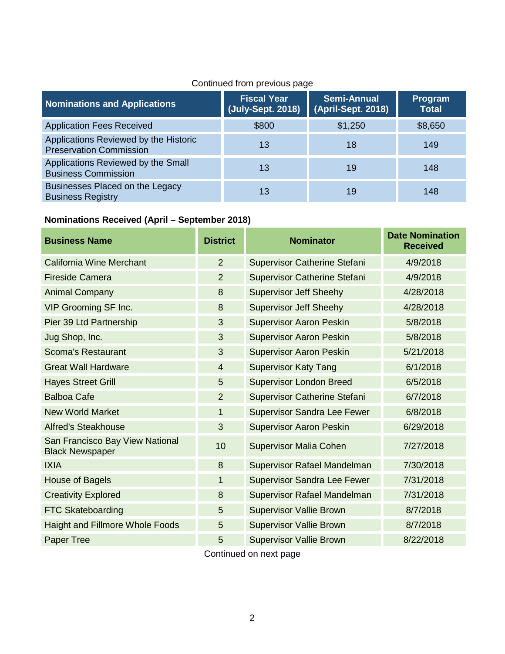# Continued from previous page

| <b>Nominations and Applications</b>                                     | <b>Fiscal Year</b> | <b>Semi-Annual</b><br>(July-Sept. 2018)   (April-Sept. 2018) | Program<br><b>Total</b> |
|-------------------------------------------------------------------------|--------------------|--------------------------------------------------------------|-------------------------|
| <b>Application Fees Received</b>                                        | \$800              | \$1,250                                                      | \$8,650                 |
| Applications Reviewed by the Historic<br><b>Preservation Commission</b> | 13                 | 18                                                           | 149                     |
| Applications Reviewed by the Small<br><b>Business Commission</b>        | 13                 | 19                                                           | 148                     |
| Businesses Placed on the Legacy<br><b>Business Registry</b>             | 13                 | 19                                                           | 148                     |

# **Nominations Received (April – September 2018)**

| <b>Business Name</b>                                      | <b>District</b> | <b>Nominator</b>                    | <b>Date Nomination</b><br><b>Received</b> |
|-----------------------------------------------------------|-----------------|-------------------------------------|-------------------------------------------|
| <b>California Wine Merchant</b>                           | $\overline{2}$  | <b>Supervisor Catherine Stefani</b> | 4/9/2018                                  |
| <b>Fireside Camera</b>                                    | $\overline{2}$  | <b>Supervisor Catherine Stefani</b> | 4/9/2018                                  |
| <b>Animal Company</b>                                     | 8               | <b>Supervisor Jeff Sheehy</b>       | 4/28/2018                                 |
| <b>VIP Grooming SF Inc.</b>                               | 8               | <b>Supervisor Jeff Sheehy</b>       | 4/28/2018                                 |
| Pier 39 Ltd Partnership                                   | 3               | <b>Supervisor Aaron Peskin</b>      | 5/8/2018                                  |
| Jug Shop, Inc.                                            | 3               | <b>Supervisor Aaron Peskin</b>      | 5/8/2018                                  |
| <b>Scoma's Restaurant</b>                                 | 3               | <b>Supervisor Aaron Peskin</b>      | 5/21/2018                                 |
| <b>Great Wall Hardware</b>                                | $\overline{4}$  | <b>Supervisor Katy Tang</b>         | 6/1/2018                                  |
| <b>Hayes Street Grill</b>                                 | 5               | <b>Supervisor London Breed</b>      | 6/5/2018                                  |
| <b>Balboa Cafe</b>                                        | $\overline{2}$  | <b>Supervisor Catherine Stefani</b> | 6/7/2018                                  |
| <b>New World Market</b>                                   | 1               | <b>Supervisor Sandra Lee Fewer</b>  | 6/8/2018                                  |
| <b>Alfred's Steakhouse</b>                                | 3               | <b>Supervisor Aaron Peskin</b>      | 6/29/2018                                 |
| San Francisco Bay View National<br><b>Black Newspaper</b> | 10              | <b>Supervisor Malia Cohen</b>       | 7/27/2018                                 |
| <b>IXIA</b>                                               | 8               | <b>Supervisor Rafael Mandelman</b>  | 7/30/2018                                 |
| <b>House of Bagels</b>                                    | 1               | <b>Supervisor Sandra Lee Fewer</b>  | 7/31/2018                                 |
| <b>Creativity Explored</b>                                | 8               | <b>Supervisor Rafael Mandelman</b>  | 7/31/2018                                 |
| <b>FTC Skateboarding</b>                                  | 5               | <b>Supervisor Vallie Brown</b>      | 8/7/2018                                  |
| <b>Haight and Fillmore Whole Foods</b>                    | 5               | <b>Supervisor Vallie Brown</b>      | 8/7/2018                                  |
| Paper Tree                                                | 5               | <b>Supervisor Vallie Brown</b>      | 8/22/2018                                 |

Continued on next page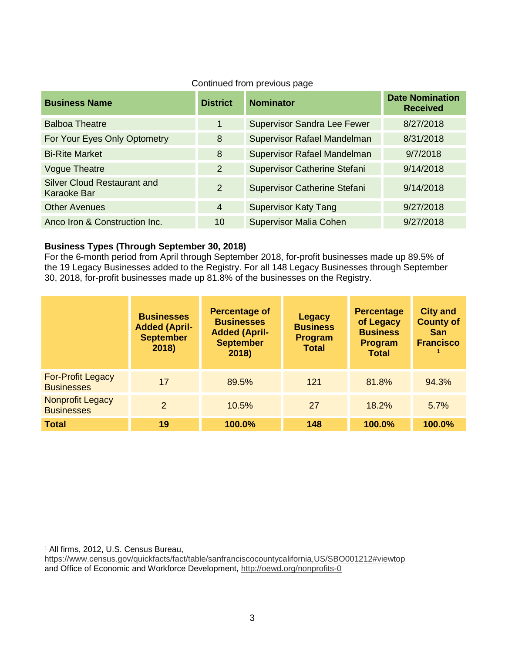| <b>Business Name</b>                              | <b>District</b> | <b>Nominator</b>                    | <b>Date Nomination</b><br><b>Received</b> |
|---------------------------------------------------|-----------------|-------------------------------------|-------------------------------------------|
| <b>Balboa Theatre</b>                             | $\mathbf 1$     | <b>Supervisor Sandra Lee Fewer</b>  | 8/27/2018                                 |
| For Your Eyes Only Optometry                      | 8               | Supervisor Rafael Mandelman         | 8/31/2018                                 |
| <b>Bi-Rite Market</b>                             | 8               | Supervisor Rafael Mandelman         | 9/7/2018                                  |
| <b>Vogue Theatre</b>                              | $\overline{2}$  | <b>Supervisor Catherine Stefani</b> | 9/14/2018                                 |
| <b>Silver Cloud Restaurant and</b><br>Karaoke Bar | 2               | <b>Supervisor Catherine Stefani</b> | 9/14/2018                                 |
| <b>Other Avenues</b>                              | $\overline{4}$  | <b>Supervisor Katy Tang</b>         | 9/27/2018                                 |
| Anco Iron & Construction Inc.                     | 10              | <b>Supervisor Malia Cohen</b>       | 9/27/2018                                 |

### Continued from previous page

### **Business Types (Through September 30, 2018)**

For the 6-month period from April through September 2018, for-profit businesses made up 89.5% of the 19 Legacy Businesses added to the Registry. For all 148 Legacy Businesses through September 30, 2018, for-profit businesses made up 81.8% of the businesses on the Registry.

|                                               | <b>Businesses</b><br><b>Added (April-</b><br><b>September</b><br>2018) | <b>Percentage of</b><br><b>Businesses</b><br><b>Added (April-</b><br><b>September</b><br>2018) | <b>Legacy</b><br><b>Business</b><br><b>Program</b><br><b>Total</b> | <b>Percentage</b><br>of Legacy<br><b>Business</b><br><b>Program</b><br><b>Total</b> | <b>City and</b><br><b>County of</b><br><b>San</b><br><b>Francisco</b> |
|-----------------------------------------------|------------------------------------------------------------------------|------------------------------------------------------------------------------------------------|--------------------------------------------------------------------|-------------------------------------------------------------------------------------|-----------------------------------------------------------------------|
| <b>For-Profit Legacy</b><br><b>Businesses</b> | 17                                                                     | 89.5%                                                                                          | 121                                                                | 81.8%                                                                               | 94.3%                                                                 |
| Nonprofit Legacy<br><b>Businesses</b>         | $\mathfrak{p}$                                                         | 10.5%                                                                                          | 27                                                                 | 18.2%                                                                               | 5.7%                                                                  |
| <b>Total</b>                                  | 19                                                                     | 100.0%                                                                                         | 148                                                                | 100.0%                                                                              | 100.0%                                                                |

<span id="page-3-0"></span><sup>&</sup>lt;sup>1</sup> All firms, 2012, U.S. Census Bureau,

<https://www.census.gov/quickfacts/fact/table/sanfranciscocountycalifornia,US/SBO001212#viewtop> and Office of Economic and Workforce Development,<http://oewd.org/nonprofits-0>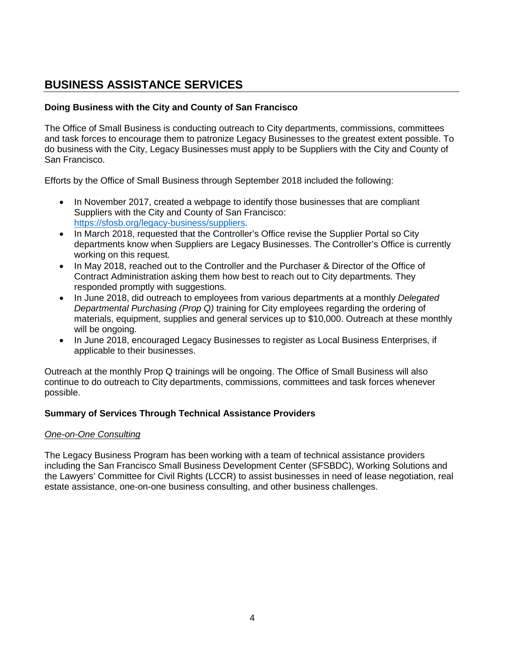# **BUSINESS ASSISTANCE SERVICES**

### **Doing Business with the City and County of San Francisco**

The Office of Small Business is conducting outreach to City departments, commissions, committees and task forces to encourage them to patronize Legacy Businesses to the greatest extent possible. To do business with the City, Legacy Businesses must apply to be Suppliers with the City and County of San Francisco.

Efforts by the Office of Small Business through September 2018 included the following:

- In November 2017, created a webpage to identify those businesses that are compliant Suppliers with the City and County of San Francisco: [https://sfosb.org/legacy-business/suppliers.](https://sfosb.org/legacy-business/suppliers)
- In March 2018, requested that the Controller's Office revise the Supplier Portal so City departments know when Suppliers are Legacy Businesses. The Controller's Office is currently working on this request.
- In May 2018, reached out to the Controller and the Purchaser & Director of the Office of Contract Administration asking them how best to reach out to City departments. They responded promptly with suggestions.
- In June 2018, did outreach to employees from various departments at a monthly *Delegated Departmental Purchasing (Prop Q)* training for City employees regarding the ordering of materials, equipment, supplies and general services up to \$10,000. Outreach at these monthly will be ongoing.
- In June 2018, encouraged Legacy Businesses to register as Local Business Enterprises, if applicable to their businesses.

Outreach at the monthly Prop Q trainings will be ongoing. The Office of Small Business will also continue to do outreach to City departments, commissions, committees and task forces whenever possible.

### **Summary of Services Through Technical Assistance Providers**

#### *One-on-One Consulting*

The Legacy Business Program has been working with a team of technical assistance providers including the San Francisco Small Business Development Center (SFSBDC), Working Solutions and the Lawyers' Committee for Civil Rights (LCCR) to assist businesses in need of lease negotiation, real estate assistance, one-on-one business consulting, and other business challenges.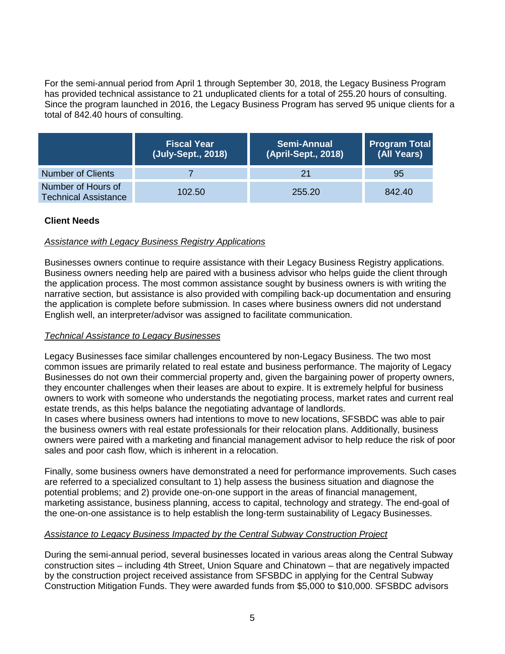For the semi-annual period from April 1 through September 30, 2018, the Legacy Business Program has provided technical assistance to 21 unduplicated clients for a total of 255.20 hours of consulting. Since the program launched in 2016, the Legacy Business Program has served 95 unique clients for a total of 842.40 hours of consulting.

|                                                   | <b>Fiscal Year</b><br>(July-Sept., 2018) | <b>Semi-Annual</b><br>(April-Sept., 2018) | <b>Program Total</b><br>(All Years) |
|---------------------------------------------------|------------------------------------------|-------------------------------------------|-------------------------------------|
| <b>Number of Clients</b>                          |                                          | 21                                        | 95                                  |
| Number of Hours of<br><b>Technical Assistance</b> | 102.50                                   | 255.20                                    | 842.40                              |

### **Client Needs**

### *Assistance with Legacy Business Registry Applications*

Businesses owners continue to require assistance with their Legacy Business Registry applications. Business owners needing help are paired with a business advisor who helps guide the client through the application process. The most common assistance sought by business owners is with writing the narrative section, but assistance is also provided with compiling back-up documentation and ensuring the application is complete before submission. In cases where business owners did not understand English well, an interpreter/advisor was assigned to facilitate communication.

#### *Technical Assistance to Legacy Businesses*

Legacy Businesses face similar challenges encountered by non-Legacy Business. The two most common issues are primarily related to real estate and business performance. The majority of Legacy Businesses do not own their commercial property and, given the bargaining power of property owners, they encounter challenges when their leases are about to expire. It is extremely helpful for business owners to work with someone who understands the negotiating process, market rates and current real estate trends, as this helps balance the negotiating advantage of landlords.

In cases where business owners had intentions to move to new locations, SFSBDC was able to pair the business owners with real estate professionals for their relocation plans. Additionally, business owners were paired with a marketing and financial management advisor to help reduce the risk of poor sales and poor cash flow, which is inherent in a relocation.

Finally, some business owners have demonstrated a need for performance improvements. Such cases are referred to a specialized consultant to 1) help assess the business situation and diagnose the potential problems; and 2) provide one-on-one support in the areas of financial management, marketing assistance, business planning, access to capital, technology and strategy. The end-goal of the one-on-one assistance is to help establish the long-term sustainability of Legacy Businesses.

#### *Assistance to Legacy Business Impacted by the Central Subway Construction Project*

During the semi-annual period, several businesses located in various areas along the Central Subway construction sites – including 4th Street, Union Square and Chinatown – that are negatively impacted by the construction project received assistance from SFSBDC in applying for the Central Subway Construction Mitigation Funds. They were awarded funds from \$5,000 to \$10,000. SFSBDC advisors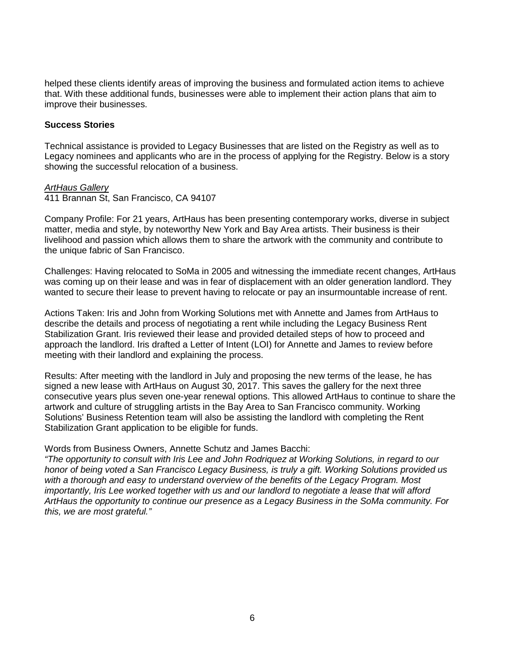helped these clients identify areas of improving the business and formulated action items to achieve that. With these additional funds, businesses were able to implement their action plans that aim to improve their businesses.

#### **Success Stories**

Technical assistance is provided to Legacy Businesses that are listed on the Registry as well as to Legacy nominees and applicants who are in the process of applying for the Registry. Below is a story showing the successful relocation of a business.

#### *ArtHaus Gallery*

411 Brannan St, San Francisco, CA 94107

Company Profile: For 21 years, ArtHaus has been presenting contemporary works, diverse in subject matter, media and style, by noteworthy New York and Bay Area artists. Their business is their livelihood and passion which allows them to share the artwork with the community and contribute to the unique fabric of San Francisco.

Challenges: Having relocated to SoMa in 2005 and witnessing the immediate recent changes, ArtHaus was coming up on their lease and was in fear of displacement with an older generation landlord. They wanted to secure their lease to prevent having to relocate or pay an insurmountable increase of rent.

Actions Taken: Iris and John from Working Solutions met with Annette and James from ArtHaus to describe the details and process of negotiating a rent while including the Legacy Business Rent Stabilization Grant. Iris reviewed their lease and provided detailed steps of how to proceed and approach the landlord. Iris drafted a Letter of Intent (LOI) for Annette and James to review before meeting with their landlord and explaining the process.

Results: After meeting with the landlord in July and proposing the new terms of the lease, he has signed a new lease with ArtHaus on August 30, 2017. This saves the gallery for the next three consecutive years plus seven one-year renewal options. This allowed ArtHaus to continue to share the artwork and culture of struggling artists in the Bay Area to San Francisco community. Working Solutions' Business Retention team will also be assisting the landlord with completing the Rent Stabilization Grant application to be eligible for funds.

#### Words from Business Owners, Annette Schutz and James Bacchi:

*"The opportunity to consult with Iris Lee and John Rodriquez at Working Solutions, in regard to our honor of being voted a San Francisco Legacy Business, is truly a gift. Working Solutions provided us with a thorough and easy to understand overview of the benefits of the Legacy Program. Most importantly, Iris Lee worked together with us and our landlord to negotiate a lease that will afford ArtHaus the opportunity to continue our presence as a Legacy Business in the SoMa community. For this, we are most grateful."*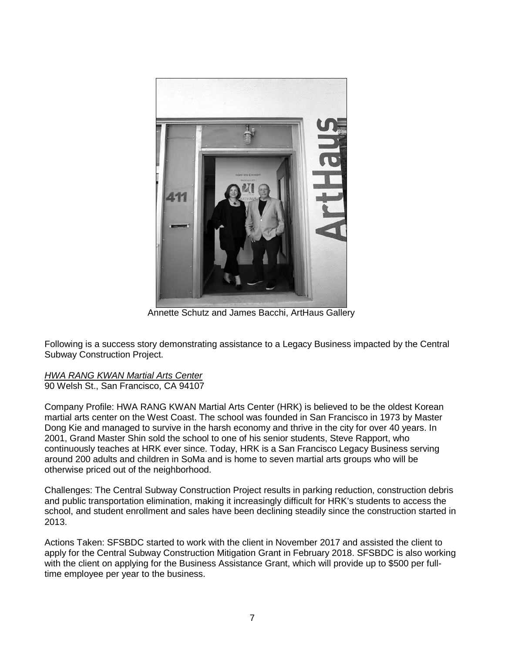

Annette Schutz and James Bacchi, ArtHaus Gallery

Following is a success story demonstrating assistance to a Legacy Business impacted by the Central Subway Construction Project.

*HWA RANG KWAN Martial Arts Center* 90 Welsh St., San Francisco, CA 94107

Company Profile: HWA RANG KWAN Martial Arts Center (HRK) is believed to be the oldest Korean martial arts center on the West Coast. The school was founded in San Francisco in 1973 by Master Dong Kie and managed to survive in the harsh economy and thrive in the city for over 40 years. In 2001, Grand Master Shin sold the school to one of his senior students, Steve Rapport, who continuously teaches at HRK ever since. Today, HRK is a San Francisco Legacy Business serving around 200 adults and children in SoMa and is home to seven martial arts groups who will be otherwise priced out of the neighborhood.

Challenges: The Central Subway Construction Project results in parking reduction, construction debris and public transportation elimination, making it increasingly difficult for HRK's students to access the school, and student enrollment and sales have been declining steadily since the construction started in 2013.

Actions Taken: SFSBDC started to work with the client in November 2017 and assisted the client to apply for the Central Subway Construction Mitigation Grant in February 2018. SFSBDC is also working with the client on applying for the Business Assistance Grant, which will provide up to \$500 per fulltime employee per year to the business.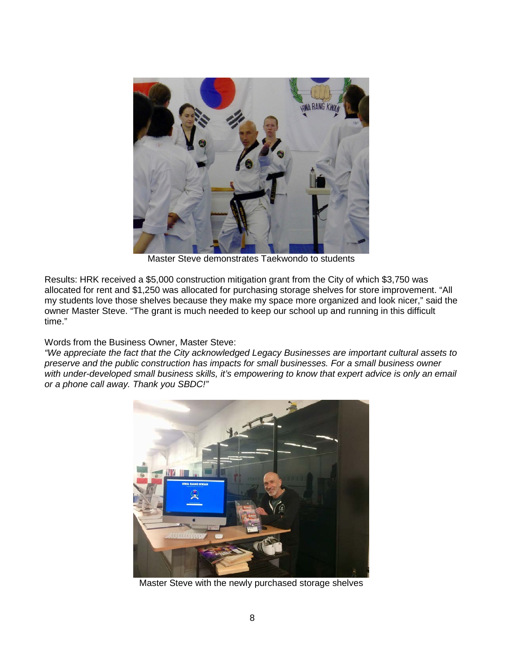

Master Steve demonstrates Taekwondo to students

Results: HRK received a \$5,000 construction mitigation grant from the City of which \$3,750 was allocated for rent and \$1,250 was allocated for purchasing storage shelves for store improvement. "All my students love those shelves because they make my space more organized and look nicer," said the owner Master Steve. "The grant is much needed to keep our school up and running in this difficult time."

Words from the Business Owner, Master Steve:

*"We appreciate the fact that the City acknowledged Legacy Businesses are important cultural assets to preserve and the public construction has impacts for small businesses. For a small business owner*  with under-developed small business skills, it's empowering to know that expert advice is only an email *or a phone call away. Thank you SBDC!"*



Master Steve with the newly purchased storage shelves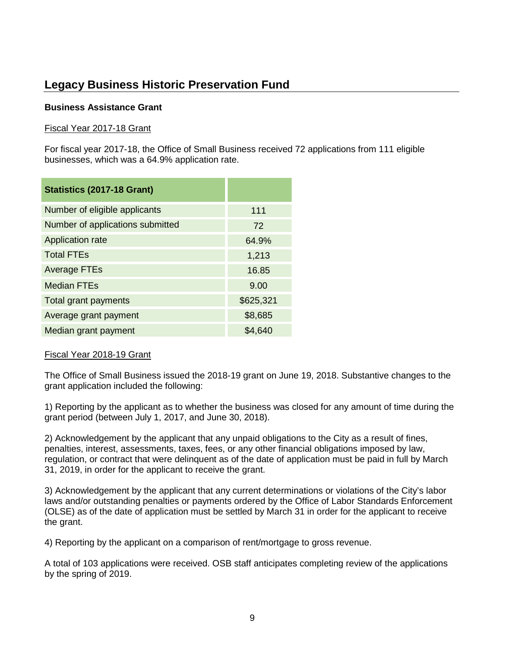# **Legacy Business Historic Preservation Fund**

#### **Business Assistance Grant**

#### Fiscal Year 2017-18 Grant

For fiscal year 2017-18, the Office of Small Business received 72 applications from 111 eligible businesses, which was a 64.9% application rate.

| Statistics (2017-18 Grant)       |           |
|----------------------------------|-----------|
| Number of eligible applicants    | 111       |
| Number of applications submitted | 72        |
| Application rate                 | 64.9%     |
| <b>Total FTEs</b>                | 1,213     |
| <b>Average FTEs</b>              | 16.85     |
| <b>Median FTEs</b>               | 9.00      |
| Total grant payments             | \$625,321 |
| Average grant payment            | \$8,685   |
| Median grant payment             | \$4,640   |

#### Fiscal Year 2018-19 Grant

The Office of Small Business issued the 2018-19 grant on June 19, 2018. Substantive changes to the grant application included the following:

1) Reporting by the applicant as to whether the business was closed for any amount of time during the grant period (between July 1, 2017, and June 30, 2018).

2) Acknowledgement by the applicant that any unpaid obligations to the City as a result of fines, penalties, interest, assessments, taxes, fees, or any other financial obligations imposed by law, regulation, or contract that were delinquent as of the date of application must be paid in full by March 31, 2019, in order for the applicant to receive the grant.

3) Acknowledgement by the applicant that any current determinations or violations of the City's labor laws and/or outstanding penalties or payments ordered by the Office of Labor Standards Enforcement (OLSE) as of the date of application must be settled by March 31 in order for the applicant to receive the grant.

4) Reporting by the applicant on a comparison of rent/mortgage to gross revenue.

A total of 103 applications were received. OSB staff anticipates completing review of the applications by the spring of 2019.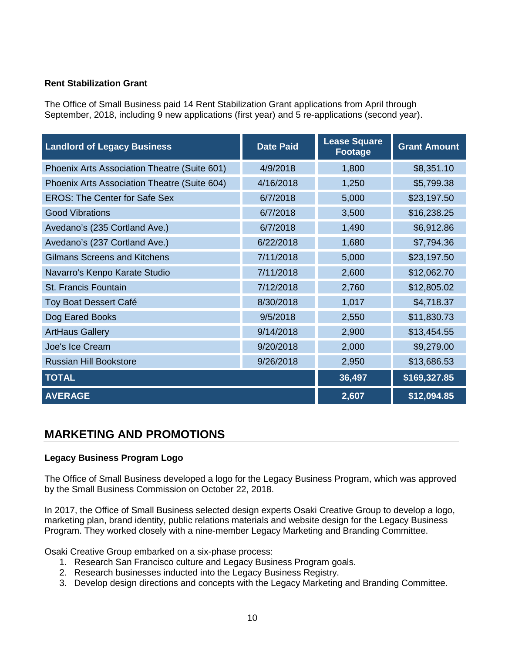#### **Rent Stabilization Grant**

The Office of Small Business paid 14 Rent Stabilization Grant applications from April through September, 2018, including 9 new applications (first year) and 5 re-applications (second year).

| <b>Landlord of Legacy Business</b>           | <b>Date Paid</b> | <b>Lease Square</b><br>Footage | <b>Grant Amount</b> |
|----------------------------------------------|------------------|--------------------------------|---------------------|
| Phoenix Arts Association Theatre (Suite 601) | 4/9/2018         | 1,800                          | \$8,351.10          |
| Phoenix Arts Association Theatre (Suite 604) | 4/16/2018        | 1,250                          | \$5,799.38          |
| <b>EROS: The Center for Safe Sex</b>         | 6/7/2018         | 5,000                          | \$23,197.50         |
| <b>Good Vibrations</b>                       | 6/7/2018         | 3,500                          | \$16,238.25         |
| Avedano's (235 Cortland Ave.)                | 6/7/2018         | 1,490                          | \$6,912.86          |
| Avedano's (237 Cortland Ave.)                | 6/22/2018        | 1,680                          | \$7,794.36          |
| <b>Gilmans Screens and Kitchens</b>          | 7/11/2018        | 5,000                          | \$23,197.50         |
| Navarro's Kenpo Karate Studio                | 7/11/2018        | 2,600                          | \$12,062.70         |
| <b>St. Francis Fountain</b>                  | 7/12/2018        | 2,760                          | \$12,805.02         |
| Toy Boat Dessert Café                        | 8/30/2018        | 1,017                          | \$4,718.37          |
| Dog Eared Books                              | 9/5/2018         | 2,550                          | \$11,830.73         |
| <b>ArtHaus Gallery</b>                       | 9/14/2018        | 2,900                          | \$13,454.55         |
| Joe's Ice Cream                              | 9/20/2018        | 2,000                          | \$9,279.00          |
| <b>Russian Hill Bookstore</b>                | 9/26/2018        | 2,950                          | \$13,686.53         |
| <b>TOTAL</b>                                 |                  | 36,497                         | \$169,327.85        |
| <b>AVERAGE</b>                               |                  | 2,607                          | \$12,094.85         |

### **MARKETING AND PROMOTIONS**

#### **Legacy Business Program Logo**

The Office of Small Business developed a logo for the Legacy Business Program, which was approved by the Small Business Commission on October 22, 2018.

In 2017, the Office of Small Business selected design experts Osaki Creative Group to develop a logo, marketing plan, brand identity, public relations materials and website design for the Legacy Business Program. They worked closely with a nine-member Legacy Marketing and Branding Committee.

Osaki Creative Group embarked on a six-phase process:

- 1. Research San Francisco culture and Legacy Business Program goals.
- 2. Research businesses inducted into the Legacy Business Registry.
- 3. Develop design directions and concepts with the Legacy Marketing and Branding Committee.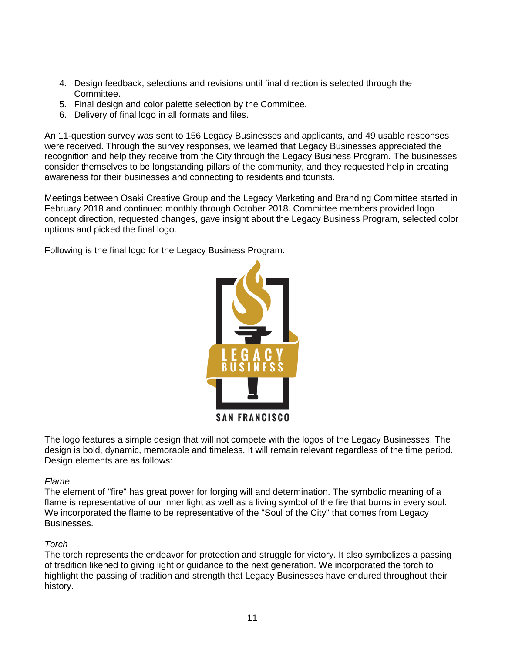- 4. Design feedback, selections and revisions until final direction is selected through the Committee.
- 5. Final design and color palette selection by the Committee.
- 6. Delivery of final logo in all formats and files.

An 11-question survey was sent to 156 Legacy Businesses and applicants, and 49 usable responses were received. Through the survey responses, we learned that Legacy Businesses appreciated the recognition and help they receive from the City through the Legacy Business Program. The businesses consider themselves to be longstanding pillars of the community, and they requested help in creating awareness for their businesses and connecting to residents and tourists.

Meetings between Osaki Creative Group and the Legacy Marketing and Branding Committee started in February 2018 and continued monthly through October 2018. Committee members provided logo concept direction, requested changes, gave insight about the Legacy Business Program, selected color options and picked the final logo.

Following is the final logo for the Legacy Business Program:



The logo features a simple design that will not compete with the logos of the Legacy Businesses. The design is bold, dynamic, memorable and timeless. It will remain relevant regardless of the time period. Design elements are as follows:

#### *Flame*

The element of "fire" has great power for forging will and determination. The symbolic meaning of a flame is representative of our inner light as well as a living symbol of the fire that burns in every soul. We incorporated the flame to be representative of the "Soul of the City" that comes from Legacy Businesses.

#### *Torch*

The torch represents the endeavor for protection and struggle for victory. It also symbolizes a passing of tradition likened to giving light or guidance to the next generation. We incorporated the torch to highlight the passing of tradition and strength that Legacy Businesses have endured throughout their history.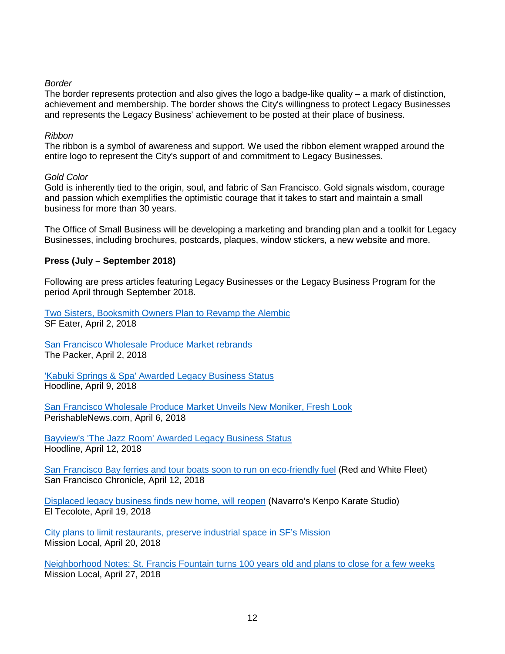#### *Border*

The border represents protection and also gives the logo a badge-like quality  $-$  a mark of distinction, achievement and membership. The border shows the City's willingness to protect Legacy Businesses and represents the Legacy Business' achievement to be posted at their place of business.

#### *Ribbon*

The ribbon is a symbol of awareness and support. We used the ribbon element wrapped around the entire logo to represent the City's support of and commitment to Legacy Businesses.

#### *Gold Color*

Gold is inherently tied to the origin, soul, and fabric of San Francisco. Gold signals wisdom, courage and passion which exemplifies the optimistic courage that it takes to start and maintain a small business for more than 30 years.

The Office of Small Business will be developing a marketing and branding plan and a toolkit for Legacy Businesses, including brochures, postcards, plaques, window stickers, a new website and more.

#### **Press (July – September 2018)**

Following are press articles featuring Legacy Businesses or the Legacy Business Program for the period April through September 2018.

[Two Sisters, Booksmith Owners Plan to Revamp the Alembic](https://sf.eater.com/2018/4/2/17189654/alembic-new-owners-bar-haight-street-san-francisco) SF Eater, April 2, 2018

[San Francisco Wholesale Produce Market rebrands](https://www.thepacker.com/article/san-francisco-wholesale-produce-market-rebrands) The Packer, April 2, 2018

['Kabuki Springs & Spa' Awarded Legacy Business Status](https://hoodline.com/2018/04/kabuki-springs-spa-awarded-legacy-business-status) Hoodline, April 9, 2018

[San Francisco Wholesale Produce Market Unveils New Moniker, Fresh Look](http://www.perishablenews.com/index.php?article=0067158) PerishableNews.com, April 6, 2018

Bayview's ['The Jazz Room' Awarded Legacy Business Status](https://hoodline.com/2018/04/bayview-s-the-jazz-room-awarded-legacy-business-status) Hoodline, April 12, 2018

[San Francisco Bay ferries and tour boats soon to run on eco-friendly fuel](https://www.sfgate.com/bayarea/article/San-Francisco-Bay-ferries-and-tour-boats-soon-to-12829867.php) (Red and White Fleet) San Francisco Chronicle, April 12, 2018

[Displaced legacy business finds new home, will reopen](http://eltecolote.org/content/en/features/displaced-legacy-business-finds-new-home-will-reopen/) (Navarro's Kenpo Karate Studio) El Tecolote, April 19, 2018

[City plans to limit restaurants, preserve industrial space in SF's Mission](https://missionlocal.org/2018/04/city-plans-to-limit-restaurants-preserve-industrial-space-in-sfs-mission/) Mission Local, April 20, 2018

[Neighborhood Notes: St. Francis Fountain turns 100 years old and plans to close for a few weeks](https://missionlocal.org/2018/04/neighborhood-notes-st-francis-fountain-turns-100-years-old-plans-to-close-for-a-few-weeks/) Mission Local, April 27, 2018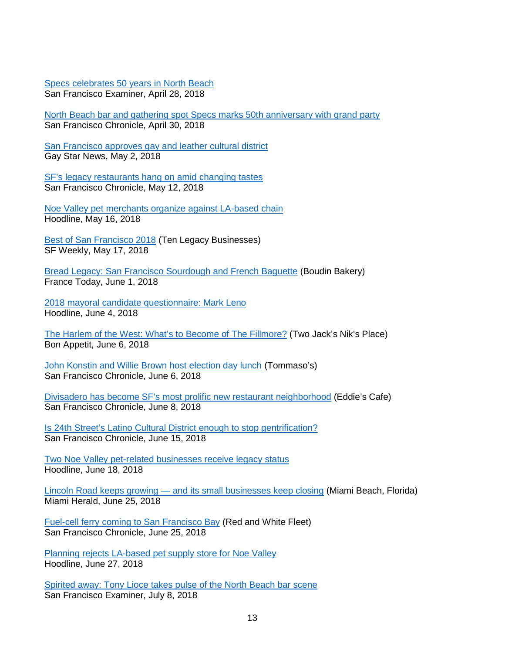[Specs celebrates 50 years in North Beach](http://www.sfexaminer.com/specs-celebrates-50-years-north-beach/) San Francisco Examiner, April 28, 2018

[North Beach bar and gathering spot Specs marks 50th anniversary with grand party](https://www.sfchronicle.com/bayarea/article/North-Beach-bar-and-gathering-spot-Specs-marks-12876195.php) San Francisco Chronicle, April 30, 2018

[San Francisco approves gay and leather cultural district](https://www.gaystarnews.com/article/san-francisco-leather-cultural-district/#gs.Zhq6kRo) Gay Star News, May 2, 2018

[SF's legacy restaurants hang on amid changing tastes](https://www.sfchronicle.com/bayarea/nativeson/article/SF-s-legacy-restaurants-hang-on-amid-changing-12908988.php#photo-13907961) San Francisco Chronicle, May 12, 2018

[Noe Valley pet merchants organize against LA-based chain](https://hoodline.com/2018/05/noe-valley-pet-merchants-organize-against-la-based-chain?u) Hoodline, May 16, 2018

**[Best of San Francisco 2018](http://www.sfweekly.com/best-of-san-francisco/best-of-sf-2018/best-of-san-francisco-2018/) (Ten Legacy Businesses)** SF Weekly, May 17, 2018

[Bread Legacy: San Francisco Sourdough and French Baguette](https://www.francetoday.com/culture/france_in_america/san-francisco-sourdough-and-french-baguette/) (Boudin Bakery) France Today, June 1, 2018

[2018 mayoral candidate questionnaire: Mark Leno](https://hoodline.com/2018/06/2018-mayoral-candidate-questionnaire-mark-leno) Hoodline, June 4, 2018

[The Harlem of the West: What's to Become of The Fillmore?](https://www.bonappetit.com/story/harlem-of-the-west-fillmore) (Two Jack's Nik's Place) Bon Appetit, June 6, 2018

[John Konstin and Willie Brown host election day lunch](https://www.sfchronicle.com/entertainment/garchik/article/John-Konstin-and-Willie-Brown-host-election-day-12970352.php) (Tommaso's) San Francisco Chronicle, June 6, 2018

[Divisadero has become SF's most prolific new restaurant neighborhood](https://www.sfchronicle.com/restaurants/article/Divisadero-has-become-SF-s-most-prolific-new-12977200.php) (Eddie's Cafe) San Francisco Chronicle, June 8, 2018

[Is 24th Street's Latino Cultural District enough to stop gentrification?](https://www.sfchronicle.com/restaurants/article/Is-24th-Street-s-Latino-Cultural-District-12998263.php) San Francisco Chronicle, June 15, 2018

[Two Noe Valley pet-related businesses receive legacy status](https://hoodline.com/2018/06/two-noe-valley-pet-related-businesses-receive-legacy-status) Hoodline, June 18, 2018

Lincoln Road keeps growing — [and its small businesses keep closing](https://www.miamiherald.com/news/business/real-estate-news/article213157024.html) (Miami Beach, Florida) Miami Herald, June 25, 2018

[Fuel-cell ferry coming to San Francisco Bay](https://www.sfchronicle.com/business/article/Fuel-cell-ferry-coming-to-San-Francisco-Bay-13020867.php) (Red and White Fleet) San Francisco Chronicle, June 25, 2018

[Planning rejects LA-based pet supply store for Noe Valley](https://hoodline.com/2018/06/planning-rejects-la-based-pet-supply-store-for-noe-valley) Hoodline, June 27, 2018

[Spirited away: Tony Lioce takes pulse of the North Beach bar scene](http://www.sfexaminer.com/spirited-away-tony-lioce-pulse-north-beach-bar-scene/) San Francisco Examiner, July 8, 2018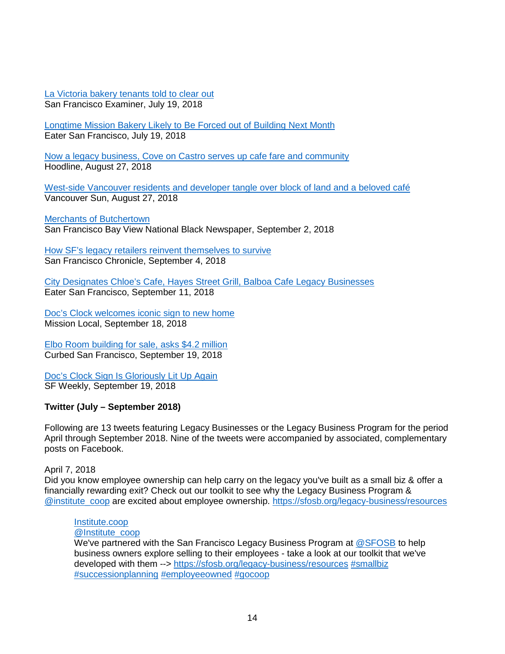[La Victoria bakery tenants told to clear out](http://www.sfexaminer.com/la-victoria-bakery-tenants-told-clear/) San Francisco Examiner, July 19, 2018

[Longtime Mission Bakery Likely to Be Forced out of Building Next Month](https://sf.eater.com/2018/7/19/17592052/la-victoria-bakery-san-francisco-eviction-closure) Eater San Francisco, July 19, 2018

[Now a legacy business, Cove on Castro serves up cafe fare and community](https://hoodline.com/2018/08/now-a-legacy-business-cove-on-castro-serves-up-cafe-fare-and-community) Hoodline, August 27, 2018

[West-side Vancouver residents and developer tangle over block of land and a beloved café](https://vancouversun.com/news/local-news/westside-vancouver-residents-and-developer-tangle-over-block-of-land-and-a-beloved-cafe) Vancouver Sun, August 27, 2018

[Merchants of Butchertown](http://sfbayview.com/2018/09/merchants-of-butchertown/) San Francisco Bay View National Black Newspaper, September 2, 2018

[How SF's legacy retailers reinvent themselves to survive](https://www.sfchronicle.com/business/article/How-SF-s-legacy-retailers-reinvent-themselves-13202077.php) San Francisco Chronicle, September 4, 2018

[City Designates Chloe's Cafe, Hayes Street Grill, Balboa Cafe Legacy Businesses](https://sf.eater.com/2018/9/11/17848052/chloes-cafe-hayes-street-grill-balboa-cafe-legacy-business) Eater San Francisco, September 11, 2018

[Doc's Clock welcomes iconic sign to new home](https://missionlocal.org/2018/09/docs-clock-bar-welcomes-iconic-sign-to-new-home/) Mission Local, September 18, 2018

[Elbo Room building for sale, asks \\$4.2 million](https://sf.curbed.com/2018/9/19/17877952/elbo-room-sale-mission-valencia-bar-concert-venue) Curbed San Francisco, September 19, 2018

[Doc's Clock Sign Is Gloriously Lit Up Again](http://www.sfweekly.com/dining/docs-clock-sign-is-gloriously-lit-up-again/) SF Weekly, September 19, 2018

#### **Twitter (July – September 2018)**

Following are 13 tweets featuring Legacy Businesses or the Legacy Business Program for the period April through September 2018. Nine of the tweets were accompanied by associated, complementary posts on Facebook.

#### April 7, 2018

Did you know employee ownership can help carry on the legacy you've built as a small biz & offer a financially rewarding exit? Check out our toolkit to see why the Legacy Business Program & [@institute\\_coop](https://twitter.com/Institute_coop) are excited about employee ownership.<https://sfosb.org/legacy-business/resources>

#### [Institute.coop](https://twitter.com/Institute_coop)

#### [@Institute\\_coop](https://twitter.com/Institute_coop)

We've partnered with the San Francisco Legacy Business Program at [@SFOSB](https://twitter.com/SFOSB) to help business owners explore selling to their employees - take a look at our toolkit that we've developed with them --> https://sfosb.org/legacy-business/resources [#smallbiz](https://twitter.com/hashtag/smallbiz?src=hash) [#successionplanning](https://twitter.com/hashtag/successionplanning?src=hash) [#employeeowned](https://twitter.com/hashtag/employeeowned?src=hash) [#gocoop](https://twitter.com/hashtag/gocoop?src=hash)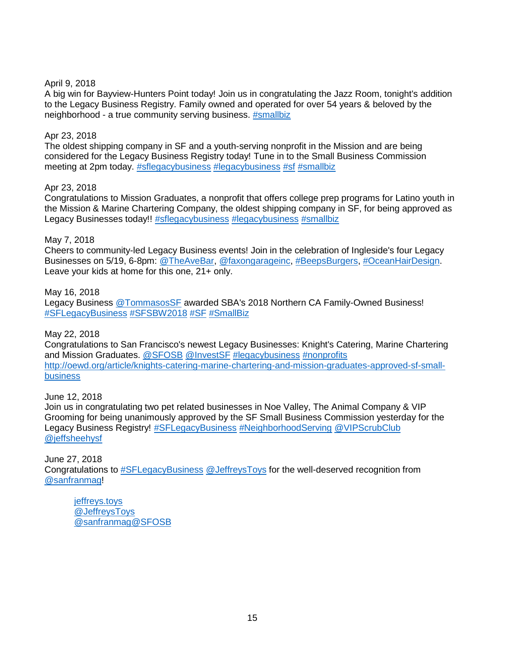#### April 9, 2018

A big win for Bayview-Hunters Point today! Join us in congratulating the Jazz Room, tonight's addition to the Legacy Business Registry. Family owned and operated for over 54 years & beloved by the neighborhood - a true community serving business. [#smallbiz](https://twitter.com/hashtag/smallbiz?src=hash)

#### [Apr 23,](https://twitter.com/SFOSB/status/988517339321675776) 2018

The oldest shipping company in SF and a youth-serving nonprofit in the Mission and are being considered for the Legacy Business Registry today! Tune in to the Small Business Commission meeting at 2pm today. [#sflegacybusiness](https://twitter.com/hashtag/sflegacybusiness?src=hash) [#legacybusiness](https://twitter.com/hashtag/legacybusiness?src=hash) [#sf](https://twitter.com/hashtag/sf?src=hash) [#smallbiz](https://twitter.com/hashtag/smallbiz?src=hash)

#### [Apr 23,](https://twitter.com/SFOSB/status/988517339321675776) 2018

Congratulations to Mission Graduates, a nonprofit that offers college prep programs for Latino youth in the Mission & Marine Chartering Company, the oldest shipping company in SF, for being approved as Legacy Businesses today!! [#sflegacybusiness](https://twitter.com/hashtag/sflegacybusiness?src=hash) [#legacybusiness](https://twitter.com/hashtag/legacybusiness?src=hash) [#smallbiz](https://twitter.com/hashtag/smallbiz?src=hash)

### May 7, 2018

Cheers to community-led Legacy Business events! Join in the celebration of Ingleside's four Legacy Businesses on 5/19, 6-8pm: [@TheAveBar,](https://twitter.com/TheAveBar) [@faxongarageinc,](https://twitter.com/faxongarageinc) [#BeepsBurgers,](https://twitter.com/hashtag/BeepsBurgers?src=hash) [#OceanHairDesign.](https://twitter.com/hashtag/OceanHairDesign?src=hash) Leave your kids at home for this one, 21+ only.

#### May 16, 2018

Legacy Business [@TommasosSF](https://twitter.com/TommasosSF) awarded SBA's 2018 Northern CA Family-Owned Business! [#SFLegacyBusiness](https://twitter.com/hashtag/SFLegacyBusiness?src=hash) [#SFSBW2018](https://twitter.com/hashtag/SFSBW2018?src=hash) [#SF](https://twitter.com/hashtag/SF?src=hash) [#SmallBiz](https://twitter.com/hashtag/SmallBiz?src=hash)

#### May 22, 2018

Congratulations to San Francisco's newest Legacy Businesses: Knight's Catering, Marine Chartering and Mission Graduates. [@SFOSB](https://twitter.com/SFOSB) [@InvestSF](https://twitter.com/InvestSF) [#legacybusiness](https://twitter.com/hashtag/legacybusiness?src=hash) [#nonprofits](https://twitter.com/hashtag/nonprofits?src=hash) [http://oewd.org/article/knights-catering-marine-chartering-and-mission-graduates-approved-sf-small](http://oewd.org/article/knights-catering-marine-chartering-and-mission-graduates-approved-sf-small-business)[business](http://oewd.org/article/knights-catering-marine-chartering-and-mission-graduates-approved-sf-small-business)

#### June 12, 2018

Join us in congratulating two pet related businesses in Noe Valley, The Animal Company & VIP Grooming for being unanimously approved by the SF Small Business Commission yesterday for the Legacy Business Registry! [#SFLegacyBusiness](https://twitter.com/hashtag/SFLegacyBusiness?src=hash) [#NeighborhoodServing](https://twitter.com/hashtag/NeighborhoodServing?src=hash) [@VIPScrubClub](https://twitter.com/VIPScrubClub) [@jeffsheehysf](https://twitter.com/jeffsheehysf)

#### June 27, 2018

Congratulations to [#SFLegacyBusiness](https://twitter.com/hashtag/SFLegacyBusiness?src=hash) [@JeffreysToys](https://twitter.com/JeffreysToys) for the well-deserved recognition from [@sanfranmag!](https://twitter.com/sanfranmag)

[jeffreys.toys](https://twitter.com/JeffreysToys) [@JeffreysToys](https://twitter.com/JeffreysToys)  [@sanfranmag](https://twitter.com/sanfranmag)[@SFOSB](https://twitter.com/SFOSB)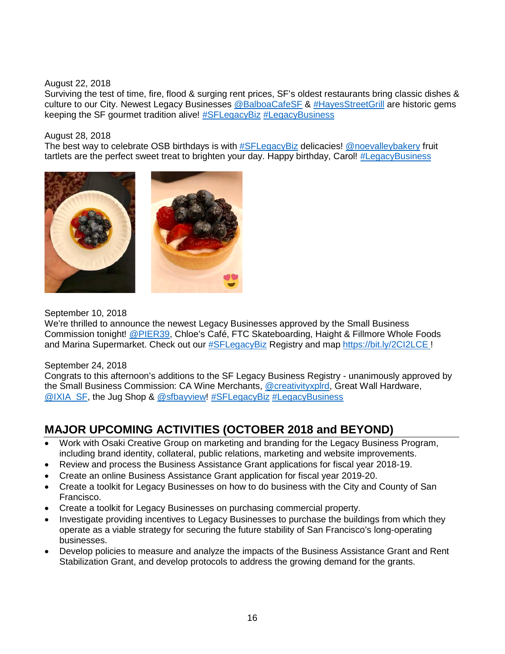#### August 22, 2018

Surviving the test of time, fire, flood & surging rent prices, SF's oldest restaurants bring classic dishes & culture to our City. Newest Legacy Businesses [@BalboaCafeSF](https://twitter.com/BalboaCafeSF) & [#HayesStreetGrill](https://twitter.com/hashtag/HayesStreetGrill?src=hash) are historic gems keeping the SF gourmet tradition alive! [#SFLegacyBiz](https://twitter.com/hashtag/SFLegacyBiz?src=hash) [#LegacyBusiness](https://twitter.com/hashtag/LegacyBusiness?src=hash)

#### August 28, 2018

The best way to celebrate OSB birthdays is with [#SFLegacyBiz](https://twitter.com/hashtag/SFLegacyBiz?src=hash) delicacies! [@noevalleybakery](https://twitter.com/noevalleybakery) fruit tartlets are the perfect sweet treat to brighten your day. Happy birthday, Carol! [#LegacyBusiness](https://twitter.com/hashtag/LegacyBusiness?src=hash)



#### September 10, 2018

We're thrilled to announce the newest Legacy Businesses approved by the Small Business Commission tonight! [@PIER39,](https://twitter.com/PIER39) Chloe's Café, FTC Skateboarding, Haight & Fillmore Whole Foods and Marina Supermarket. Check out our [#SFLegacyBiz](https://twitter.com/hashtag/SFLegacyBiz?src=hash) Registry and map [https://bit.ly/2CI2LCE](https://t.co/xdmtPAVKX5) !

#### September 24, 2018

Congrats to this afternoon's additions to the SF Legacy Business Registry - unanimously approved by the Small Business Commission: CA Wine Merchants, [@creativityxplrd,](https://twitter.com/creativityxplrd) Great Wall Hardware, [@IXIA\\_SF,](https://twitter.com/IXIA_SF) the Jug Shop & [@sfbayview!](https://twitter.com/sfbayview) [#SFLegacyBiz](https://twitter.com/hashtag/SFLegacyBiz?src=hash) [#LegacyBusiness](https://twitter.com/hashtag/LegacyBusiness?src=hash)

# **MAJOR UPCOMING ACTIVITIES (OCTOBER 2018 and BEYOND)**

- Work with Osaki Creative Group on marketing and branding for the Legacy Business Program, including brand identity, collateral, public relations, marketing and website improvements.
- Review and process the Business Assistance Grant applications for fiscal year 2018-19.
- Create an online Business Assistance Grant application for fiscal year 2019-20.
- Create a toolkit for Legacy Businesses on how to do business with the City and County of San Francisco.
- Create a toolkit for Legacy Businesses on purchasing commercial property.
- Investigate providing incentives to Legacy Businesses to purchase the buildings from which they operate as a viable strategy for securing the future stability of San Francisco's long-operating businesses.
- Develop policies to measure and analyze the impacts of the Business Assistance Grant and Rent Stabilization Grant, and develop protocols to address the growing demand for the grants.